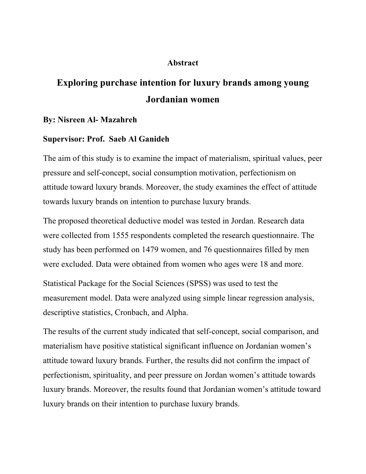## **Abstract**

## **Exploring purchase intention for luxury brands among young Jordanian women**

## **By: Nisreen Al- Mazahreh**

## **Supervisor: Prof. Saeb Al Ganideh**

The aim of this study is to examine the impact of materialism, spiritual values, peer pressure and self-concept, social consumption motivation, perfectionism on attitude toward luxury brands. Moreover, the study examines the effect of attitude towards luxury brands on intention to purchase luxury brands.

The proposed theoretical deductive model was tested in Jordan. Research data were collected from 1555 respondents completed the research questionnaire. The study has been performed on 1479 women, and 76 questionnaires filled by men were excluded. Data were obtained from women who ages were 18 and more.

Statistical Package for the Social Sciences (SPSS) was used to test the measurement model. Data were analyzed using simple linear regression analysis, descriptive statistics, Cronbach, and Alpha.

The results of the current study indicated that self-concept, social comparison, and materialism have positive statistical significant influence on Jordanian women's attitude toward luxury brands. Further, the results did not confirm the impact of perfectionism, spirituality, and peer pressure on Jordan women's attitude towards luxury brands. Moreover, the results found that Jordanian women's attitude toward luxury brands on their intention to purchase luxury brands.